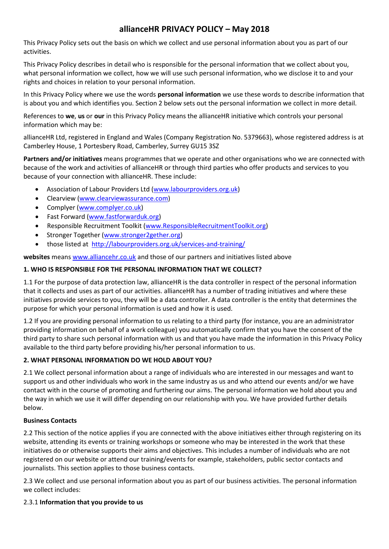# **allianceHR PRIVACY POLICY – May 2018**

This Privacy Policy sets out the basis on which we collect and use personal information about you as part of our activities.

This Privacy Policy describes in detail who is responsible for the personal information that we collect about you, what personal information we collect, how we will use such personal information, who we disclose it to and your rights and choices in relation to your personal information.

In this Privacy Policy where we use the words **personal information** we use these words to describe information that is about you and which identifies you. Section 2 below sets out the personal information we collect in more detail.

References to **we**, **us** or **our** in this Privacy Policy means the allianceHR initiative which controls your personal information which may be:

allianceHR Ltd, registered in England and Wales (Company Registration No. 5379663), whose registered address is at Camberley House, 1 Portesbery Road, Camberley, Surrey GU15 3SZ

**Partners and/or initiatives** means programmes that we operate and other organisations who we are connected with because of the work and activities of allianceHR or through third parties who offer products and services to you because of your connection with allianceHR. These include:

- Association of Labour Providers Ltd [\(www.labourproviders.org.uk\)](http://www.labourproviders.org.uk/)
- Clearview [\(www.clearviewassurance.com\)](http://www.clearviewassurance.com/)
- Complyer [\(www.complyer.co.uk\)](http://www.complyer.co.uk/)
- Fast Forward [\(www.fastforwarduk.org\)](http://www.fastforwarduk.org/)
- Responsible Recruitment Toolkit [\(www.ResponsibleRecruitmentToolkit.org\)](http://www.responsiblerecruitmenttoolkit.org/)
- Stronger Together [\(www.stronger2gether.org\)](http://www.stronger2gether.org/)
- those listed at <http://labourproviders.org.uk/services-and-training/>

**websites** means [www.alliancehr.co.uk](http://www.alliancehr.co.uk/) and those of our partners and initiatives listed above

## **1. WHO IS RESPONSIBLE FOR THE PERSONAL INFORMATION THAT WE COLLECT?**

1.1 For the purpose of data protection law, allianceHR is the data controller in respect of the personal information that it collects and uses as part of our activities. allianceHR has a number of trading initiatives and where these initiatives provide services to you, they will be a data controller. A data controller is the entity that determines the purpose for which your personal information is used and how it is used.

1.2 If you are providing personal information to us relating to a third party (for instance, you are an administrator providing information on behalf of a work colleague) you automatically confirm that you have the consent of the third party to share such personal information with us and that you have made the information in this Privacy Policy available to the third party before providing his/her personal information to us.

## **2. WHAT PERSONAL INFORMATION DO WE HOLD ABOUT YOU?**

2.1 We collect personal information about a range of individuals who are interested in our messages and want to support us and other individuals who work in the same industry as us and who attend our events and/or we have contact with in the course of promoting and furthering our aims. The personal information we hold about you and the way in which we use it will differ depending on our relationship with you. We have provided further details below.

## **Business Contacts**

2.2 This section of the notice applies if you are connected with the above initiatives either through registering on its website, attending its events or training workshops or someone who may be interested in the work that these initiatives do or otherwise supports their aims and objectives. This includes a number of individuals who are not registered on our website or attend our training/events for example, stakeholders, public sector contacts and journalists. This section applies to those business contacts.

2.3 We collect and use personal information about you as part of our business activities. The personal information we collect includes:

## 2.3.1 **Information that you provide to us**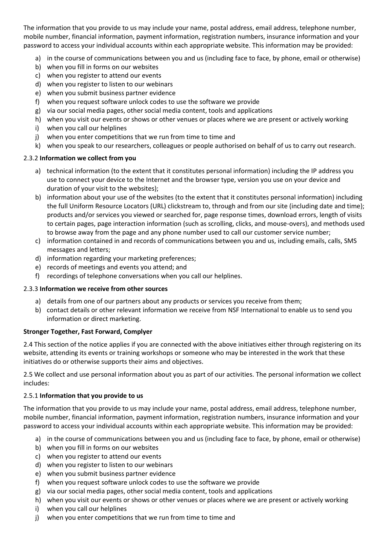The information that you provide to us may include your name, postal address, email address, telephone number, mobile number, financial information, payment information, registration numbers, insurance information and your password to access your individual accounts within each appropriate website. This information may be provided:

- a) in the course of communications between you and us (including face to face, by phone, email or otherwise)
- b) when you fill in forms on our websites
- c) when you register to attend our events
- d) when you register to listen to our webinars
- e) when you submit business partner evidence
- f) when you request software unlock codes to use the software we provide
- g) via our social media pages, other social media content, tools and applications
- h) when you visit our events or shows or other venues or places where we are present or actively working
- i) when you call our helplines
- j) when you enter competitions that we run from time to time and
- k) when you speak to our researchers, colleagues or people authorised on behalf of us to carry out research.

## 2.3.2 **Information we collect from you**

- a) technical information (to the extent that it constitutes personal information) including the IP address you use to connect your device to the Internet and the browser type, version you use on your device and duration of your visit to the websites);
- b) information about your use of the websites (to the extent that it constitutes personal information) including the full Uniform Resource Locators (URL) clickstream to, through and from our site (including date and time); products and/or services you viewed or searched for, page response times, download errors, length of visits to certain pages, page interaction information (such as scrolling, clicks, and mouse-overs), and methods used to browse away from the page and any phone number used to call our customer service number;
- c) information contained in and records of communications between you and us, including emails, calls, SMS messages and letters;
- d) information regarding your marketing preferences;
- e) records of meetings and events you attend; and
- f) recordings of telephone conversations when you call our helplines.

## 2.3.3 **Information we receive from other sources**

- a) details from one of our partners about any products or services you receive from them;
- b) contact details or other relevant information we receive from NSF International to enable us to send you information or direct marketing.

## **Stronger Together, Fast Forward, Complyer**

2.4 This section of the notice applies if you are connected with the above initiatives either through registering on its website, attending its events or training workshops or someone who may be interested in the work that these initiatives do or otherwise supports their aims and objectives.

2.5 We collect and use personal information about you as part of our activities. The personal information we collect includes:

## 2.5.1 **Information that you provide to us**

The information that you provide to us may include your name, postal address, email address, telephone number, mobile number, financial information, payment information, registration numbers, insurance information and your password to access your individual accounts within each appropriate website. This information may be provided:

- a) in the course of communications between you and us (including face to face, by phone, email or otherwise)
- b) when you fill in forms on our websites
- c) when you register to attend our events
- d) when you register to listen to our webinars
- e) when you submit business partner evidence
- f) when you request software unlock codes to use the software we provide
- g) via our social media pages, other social media content, tools and applications
- h) when you visit our events or shows or other venues or places where we are present or actively working
- i) when you call our helplines
- j) when you enter competitions that we run from time to time and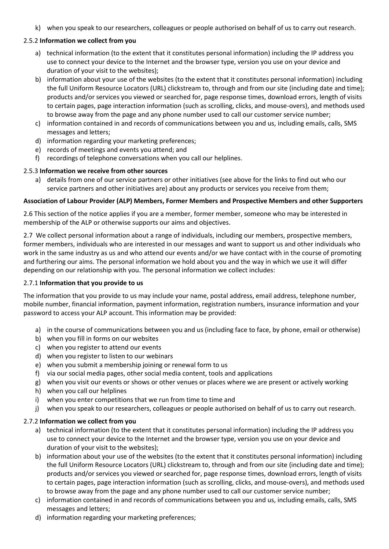k) when you speak to our researchers, colleagues or people authorised on behalf of us to carry out research.

## 2.5.2 **Information we collect from you**

- a) technical information (to the extent that it constitutes personal information) including the IP address you use to connect your device to the Internet and the browser type, version you use on your device and duration of your visit to the websites);
- b) information about your use of the websites (to the extent that it constitutes personal information) including the full Uniform Resource Locators (URL) clickstream to, through and from our site (including date and time); products and/or services you viewed or searched for, page response times, download errors, length of visits to certain pages, page interaction information (such as scrolling, clicks, and mouse-overs), and methods used to browse away from the page and any phone number used to call our customer service number;
- c) information contained in and records of communications between you and us, including emails, calls, SMS messages and letters;
- d) information regarding your marketing preferences;
- e) records of meetings and events you attend; and
- f) recordings of telephone conversations when you call our helplines.

## 2.5.3 **Information we receive from other sources**

a) details from one of our service partners or other initiatives (see above for the links to find out who our service partners and other initiatives are) about any products or services you receive from them;

## **Association of Labour Provider (ALP) Members, Former Members and Prospective Members and other Supporters**

2.6 This section of the notice applies if you are a member, former member, someone who may be interested in membership of the ALP or otherwise supports our aims and objectives.

2.7 We collect personal information about a range of individuals, including our members, prospective members, former members, individuals who are interested in our messages and want to support us and other individuals who work in the same industry as us and who attend our events and/or we have contact with in the course of promoting and furthering our aims. The personal information we hold about you and the way in which we use it will differ depending on our relationship with you. The personal information we collect includes:

## 2.7.1 **Information that you provide to us**

The information that you provide to us may include your name, postal address, email address, telephone number, mobile number, financial information, payment information, registration numbers, insurance information and your password to access your ALP account. This information may be provided:

- a) in the course of communications between you and us (including face to face, by phone, email or otherwise)
- b) when you fill in forms on our websites
- c) when you register to attend our events
- d) when you register to listen to our webinars
- e) when you submit a membership joining or renewal form to us
- f) via our social media pages, other social media content, tools and applications
- g) when you visit our events or shows or other venues or places where we are present or actively working
- h) when you call our helplines
- i) when you enter competitions that we run from time to time and
- j) when you speak to our researchers, colleagues or people authorised on behalf of us to carry out research.

## 2.7.2 **Information we collect from you**

- a) technical information (to the extent that it constitutes personal information) including the IP address you use to connect your device to the Internet and the browser type, version you use on your device and duration of your visit to the websites);
- b) information about your use of the websites (to the extent that it constitutes personal information) including the full Uniform Resource Locators (URL) clickstream to, through and from our site (including date and time); products and/or services you viewed or searched for, page response times, download errors, length of visits to certain pages, page interaction information (such as scrolling, clicks, and mouse-overs), and methods used to browse away from the page and any phone number used to call our customer service number;
- c) information contained in and records of communications between you and us, including emails, calls, SMS messages and letters;
- d) information regarding your marketing preferences;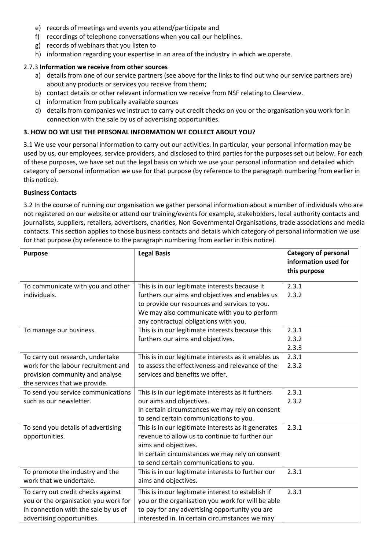- e) records of meetings and events you attend/participate and
- f) recordings of telephone conversations when you call our helplines.
- g) records of webinars that you listen to
- h) information regarding your expertise in an area of the industry in which we operate.

#### 2.7.3 **Information we receive from other sources**

- a) details from one of our service partners (see above for the links to find out who our service partners are) about any products or services you receive from them;
- b) contact details or other relevant information we receive from NSF relating to Clearview.
- c) information from publically available sources
- d) details from companies we instruct to carry out credit checks on you or the organisation you work for in connection with the sale by us of advertising opportunities.

#### **3. HOW DO WE USE THE PERSONAL INFORMATION WE COLLECT ABOUT YOU?**

3.1 We use your personal information to carry out our activities. In particular, your personal information may be used by us, our employees, service providers, and disclosed to third parties for the purposes set out below. For each of these purposes, we have set out the legal basis on which we use your personal information and detailed which category of personal information we use for that purpose (by reference to the paragraph numbering from earlier in this notice).

#### **Business Contacts**

3.2 In the course of running our organisation we gather personal information about a number of individuals who are not registered on our website or attend our training/events for example, stakeholders, local authority contacts and journalists, suppliers, retailers, advertisers, charities, Non Governmental Organisations, trade associations and media contacts. This section applies to those business contacts and details which category of personal information we use for that purpose (by reference to the paragraph numbering from earlier in this notice).

| <b>Purpose</b>                                                                                                                                   | <b>Legal Basis</b>                                                                                                                                                                                                                         | <b>Category of personal</b><br>information used for<br>this purpose |
|--------------------------------------------------------------------------------------------------------------------------------------------------|--------------------------------------------------------------------------------------------------------------------------------------------------------------------------------------------------------------------------------------------|---------------------------------------------------------------------|
| To communicate with you and other<br>individuals.                                                                                                | This is in our legitimate interests because it<br>furthers our aims and objectives and enables us<br>to provide our resources and services to you.<br>We may also communicate with you to perform<br>any contractual obligations with you. | 2.3.1<br>2.3.2                                                      |
| To manage our business.                                                                                                                          | This is in our legitimate interests because this<br>furthers our aims and objectives.                                                                                                                                                      | 2.3.1<br>2.3.2<br>2.3.3                                             |
| To carry out research, undertake<br>work for the labour recruitment and<br>provision community and analyse<br>the services that we provide.      | This is in our legitimate interests as it enables us<br>to assess the effectiveness and relevance of the<br>services and benefits we offer.                                                                                                | 2.3.1<br>2.3.2                                                      |
| To send you service communications<br>such as our newsletter.                                                                                    | This is in our legitimate interests as it furthers<br>our aims and objectives.<br>In certain circumstances we may rely on consent<br>to send certain communications to you.                                                                | 2.3.1<br>2.3.2                                                      |
| To send you details of advertising<br>opportunities.                                                                                             | This is in our legitimate interests as it generates<br>revenue to allow us to continue to further our<br>aims and objectives.<br>In certain circumstances we may rely on consent<br>to send certain communications to you.                 | 2.3.1                                                               |
| To promote the industry and the<br>work that we undertake.                                                                                       | This is in our legitimate interests to further our<br>aims and objectives.                                                                                                                                                                 | 2.3.1                                                               |
| To carry out credit checks against<br>you or the organisation you work for<br>in connection with the sale by us of<br>advertising opportunities. | This is in our legitimate interest to establish if<br>you or the organisation you work for will be able<br>to pay for any advertising opportunity you are<br>interested in. In certain circumstances we may                                | 2.3.1                                                               |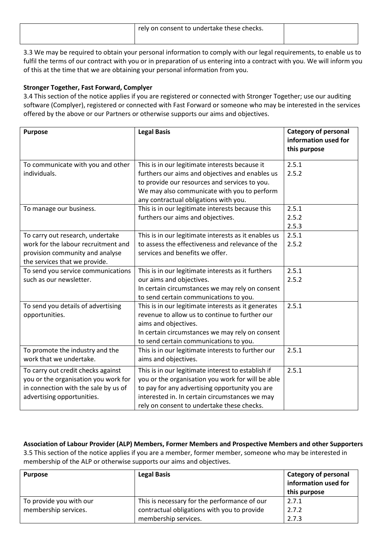| 'rely on consent to undertake these checks. |  |
|---------------------------------------------|--|
|                                             |  |

3.3 We may be required to obtain your personal information to comply with our legal requirements, to enable us to fulfil the terms of our contract with you or in preparation of us entering into a contract with you. We will inform you of this at the time that we are obtaining your personal information from you.

## **Stronger Together, Fast Forward, Complyer**

3.4 This section of the notice applies if you are registered or connected with Stronger Together; use our auditing software (Complyer), registered or connected with Fast Forward or someone who may be interested in the services offered by the above or our Partners or otherwise supports our aims and objectives.

| <b>Purpose</b>                                                                                                                                   | <b>Legal Basis</b>                                                                                                                                                                                                                                        | <b>Category of personal</b><br>information used for<br>this purpose |
|--------------------------------------------------------------------------------------------------------------------------------------------------|-----------------------------------------------------------------------------------------------------------------------------------------------------------------------------------------------------------------------------------------------------------|---------------------------------------------------------------------|
| To communicate with you and other<br>individuals.                                                                                                | This is in our legitimate interests because it<br>furthers our aims and objectives and enables us<br>to provide our resources and services to you.<br>We may also communicate with you to perform<br>any contractual obligations with you.                | 2.5.1<br>2.5.2                                                      |
| To manage our business.                                                                                                                          | This is in our legitimate interests because this<br>furthers our aims and objectives.                                                                                                                                                                     | 2.5.1<br>2.5.2<br>2.5.3                                             |
| To carry out research, undertake<br>work for the labour recruitment and<br>provision community and analyse<br>the services that we provide.      | This is in our legitimate interests as it enables us<br>to assess the effectiveness and relevance of the<br>services and benefits we offer.                                                                                                               | 2.5.1<br>2.5.2                                                      |
| To send you service communications<br>such as our newsletter.                                                                                    | This is in our legitimate interests as it furthers<br>our aims and objectives.<br>In certain circumstances we may rely on consent<br>to send certain communications to you.                                                                               | 2.5.1<br>2.5.2                                                      |
| To send you details of advertising<br>opportunities.                                                                                             | This is in our legitimate interests as it generates<br>revenue to allow us to continue to further our<br>aims and objectives.<br>In certain circumstances we may rely on consent<br>to send certain communications to you.                                | 2.5.1                                                               |
| To promote the industry and the<br>work that we undertake.                                                                                       | This is in our legitimate interests to further our<br>aims and objectives.                                                                                                                                                                                | 2.5.1                                                               |
| To carry out credit checks against<br>you or the organisation you work for<br>in connection with the sale by us of<br>advertising opportunities. | This is in our legitimate interest to establish if<br>you or the organisation you work for will be able<br>to pay for any advertising opportunity you are<br>interested in. In certain circumstances we may<br>rely on consent to undertake these checks. | 2.5.1                                                               |

**Association of Labour Provider (ALP) Members, Former Members and Prospective Members and other Supporters** 3.5 This section of the notice applies if you are a member, former member, someone who may be interested in membership of the ALP or otherwise supports our aims and objectives.

| <b>Purpose</b>          | <b>Legal Basis</b>                           | <b>Category of personal</b> |
|-------------------------|----------------------------------------------|-----------------------------|
|                         |                                              | information used for        |
|                         |                                              | this purpose                |
| To provide you with our | This is necessary for the performance of our | 2.7.1                       |
| membership services.    | contractual obligations with you to provide  | 2.7.2                       |
|                         | membership services.                         | 2.7.3                       |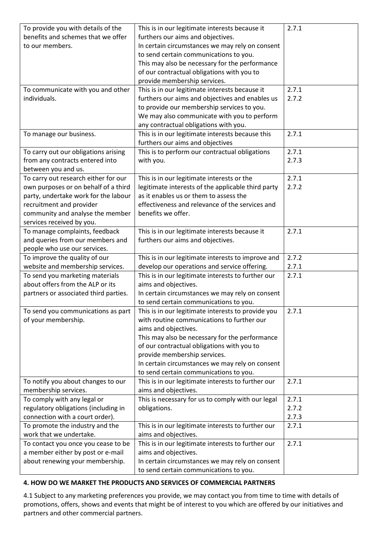| To provide you with details of the                                  | This is in our legitimate interests because it                             | 2.7.1 |
|---------------------------------------------------------------------|----------------------------------------------------------------------------|-------|
| benefits and schemes that we offer                                  | furthers our aims and objectives.                                          |       |
| to our members.                                                     | In certain circumstances we may rely on consent                            |       |
|                                                                     | to send certain communications to you.                                     |       |
|                                                                     | This may also be necessary for the performance                             |       |
|                                                                     | of our contractual obligations with you to                                 |       |
|                                                                     | provide membership services.                                               |       |
| To communicate with you and other                                   | This is in our legitimate interests because it                             | 2.7.1 |
| individuals.                                                        | furthers our aims and objectives and enables us                            | 2.7.2 |
|                                                                     | to provide our membership services to you.                                 |       |
|                                                                     | We may also communicate with you to perform                                |       |
|                                                                     | any contractual obligations with you.                                      |       |
| To manage our business.                                             | This is in our legitimate interests because this                           | 2.7.1 |
|                                                                     | furthers our aims and objectives                                           |       |
| To carry out our obligations arising                                | This is to perform our contractual obligations                             | 2.7.1 |
| from any contracts entered into                                     | with you.                                                                  | 2.7.3 |
| between you and us.                                                 |                                                                            |       |
| To carry out research either for our                                | This is in our legitimate interests or the                                 | 2.7.1 |
| own purposes or on behalf of a third                                | legitimate interests of the applicable third party                         | 2.7.2 |
| party, undertake work for the labour                                | as it enables us or them to assess the                                     |       |
| recruitment and provider                                            | effectiveness and relevance of the services and                            |       |
| community and analyse the member                                    | benefits we offer.                                                         |       |
| services received by you.                                           |                                                                            |       |
| To manage complaints, feedback                                      | This is in our legitimate interests because it                             | 2.7.1 |
| and queries from our members and                                    | furthers our aims and objectives.                                          |       |
| people who use our services.                                        |                                                                            |       |
| To improve the quality of our                                       | This is in our legitimate interests to improve and                         | 2.7.2 |
| website and membership services.                                    | develop our operations and service offering.                               | 2.7.1 |
| To send you marketing materials<br>about offers from the ALP or its | This is in our legitimate interests to further our<br>aims and objectives. | 2.7.1 |
|                                                                     | In certain circumstances we may rely on consent                            |       |
| partners or associated third parties.                               | to send certain communications to you.                                     |       |
|                                                                     | This is in our legitimate interests to provide you                         | 2.7.1 |
| To send you communications as part<br>of your membership.           | with routine communications to further our                                 |       |
|                                                                     | aims and objectives.                                                       |       |
|                                                                     | This may also be necessary for the performance                             |       |
|                                                                     | of our contractual obligations with you to                                 |       |
|                                                                     | provide membership services.                                               |       |
|                                                                     | In certain circumstances we may rely on consent                            |       |
|                                                                     | to send certain communications to you.                                     |       |
| To notify you about changes to our                                  | This is in our legitimate interests to further our                         | 2.7.1 |
| membership services.                                                | aims and objectives.                                                       |       |
| To comply with any legal or                                         | This is necessary for us to comply with our legal                          | 2.7.1 |
| regulatory obligations (including in                                | obligations.                                                               | 2.7.2 |
| connection with a court order).                                     |                                                                            | 2.7.3 |
| To promote the industry and the                                     | This is in our legitimate interests to further our                         | 2.7.1 |
| work that we undertake.                                             | aims and objectives.                                                       |       |
| To contact you once you cease to be                                 | This is in our legitimate interests to further our                         | 2.7.1 |
| a member either by post or e-mail                                   | aims and objectives.                                                       |       |
| about renewing your membership.                                     | In certain circumstances we may rely on consent                            |       |
|                                                                     | to send certain communications to you.                                     |       |

## **4. HOW DO WE MARKET THE PRODUCTS AND SERVICES OF COMMERCIAL PARTNERS**

4.1 Subject to any marketing preferences you provide, we may contact you from time to time with details of promotions, offers, shows and events that might be of interest to you which are offered by our initiatives and partners and other commercial partners.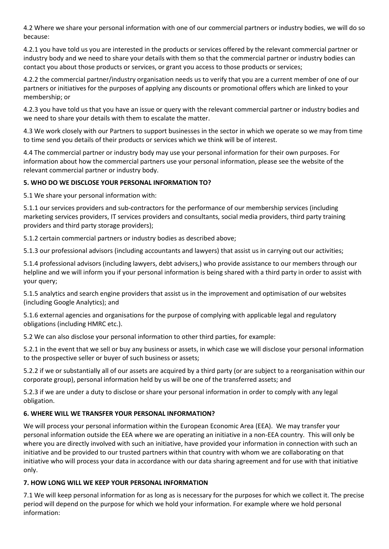4.2 Where we share your personal information with one of our commercial partners or industry bodies, we will do so because:

4.2.1 you have told us you are interested in the products or services offered by the relevant commercial partner or industry body and we need to share your details with them so that the commercial partner or industry bodies can contact you about those products or services, or grant you access to those products or services;

4.2.2 the commercial partner/industry organisation needs us to verify that you are a current member of one of our partners or initiatives for the purposes of applying any discounts or promotional offers which are linked to your membership; or

4.2.3 you have told us that you have an issue or query with the relevant commercial partner or industry bodies and we need to share your details with them to escalate the matter.

4.3 We work closely with our Partners to support businesses in the sector in which we operate so we may from time to time send you details of their products or services which we think will be of interest.

4.4 The commercial partner or industry body may use your personal information for their own purposes. For information about how the commercial partners use your personal information, please see the website of the relevant commercial partner or industry body.

## **5. WHO DO WE DISCLOSE YOUR PERSONAL INFORMATION TO?**

5.1 We share your personal information with:

5.1.1 our services providers and sub-contractors for the performance of our membership services (including marketing services providers, IT services providers and consultants, social media providers, third party training providers and third party storage providers);

5.1.2 certain commercial partners or industry bodies as described above;

5.1.3 our professional advisors (including accountants and lawyers) that assist us in carrying out our activities;

5.1.4 professional advisors (including lawyers, debt advisers,) who provide assistance to our members through our helpline and we will inform you if your personal information is being shared with a third party in order to assist with your query;

5.1.5 analytics and search engine providers that assist us in the improvement and optimisation of our websites (including Google Analytics); and

5.1.6 external agencies and organisations for the purpose of complying with applicable legal and regulatory obligations (including HMRC etc.).

5.2 We can also disclose your personal information to other third parties, for example:

5.2.1 in the event that we sell or buy any business or assets, in which case we will disclose your personal information to the prospective seller or buyer of such business or assets;

5.2.2 if we or substantially all of our assets are acquired by a third party (or are subject to a reorganisation within our corporate group), personal information held by us will be one of the transferred assets; and

5.2.3 if we are under a duty to disclose or share your personal information in order to comply with any legal obligation.

## **6. WHERE WILL WE TRANSFER YOUR PERSONAL INFORMATION?**

We will process your personal information within the European Economic Area (EEA). We may transfer your personal information outside the EEA where we are operating an initiative in a non-EEA country. This will only be where you are directly involved with such an initiative, have provided your information in connection with such an initiative and be provided to our trusted partners within that country with whom we are collaborating on that initiative who will process your data in accordance with our data sharing agreement and for use with that initiative only.

## **7. HOW LONG WILL WE KEEP YOUR PERSONAL INFORMATION**

7.1 We will keep personal information for as long as is necessary for the purposes for which we collect it. The precise period will depend on the purpose for which we hold your information. For example where we hold personal information: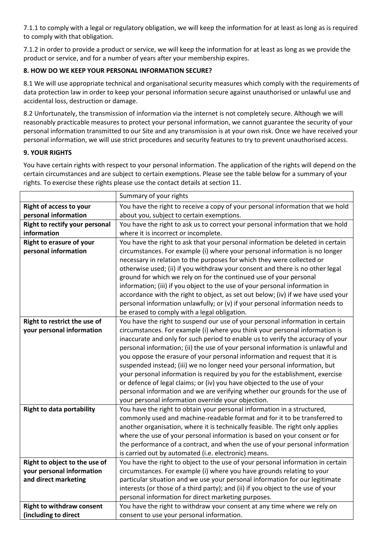7.1.1 to comply with a legal or regulatory obligation, we will keep the information for at least as long as is required to comply with that obligation.

7.1.2 in order to provide a product or service, we will keep the information for at least as long as we provide the product or service, and for a number of years after your membership expires.

## **8. HOW DO WE KEEP YOUR PERSONAL INFORMATION SECURE?**

8.1 We will use appropriate technical and organisational security measures which comply with the requirements of data protection law in order to keep your personal information secure against unauthorised or unlawful use and accidental loss, destruction or damage.

8.2 Unfortunately, the transmission of information via the internet is not completely secure. Although we will reasonably practicable measures to protect your personal information, we cannot guarantee the security of your personal information transmitted to our Site and any transmission is at your own risk. Once we have received your personal information, we will use strict procedures and security features to try to prevent unauthorised access.

## **9. YOUR RIGHTS**

You have certain rights with respect to your personal information. The application of the rights will depend on the certain circumstances and are subject to certain exemptions. Please see the table below for a summary of your rights. To exercise these rights please use the contact details at section 11.

|                                  | Summary of your rights                                                           |
|----------------------------------|----------------------------------------------------------------------------------|
| <b>Right of access to your</b>   | You have the right to receive a copy of your personal information that we hold   |
| personal information             | about you, subject to certain exemptions.                                        |
| Right to rectify your personal   | You have the right to ask us to correct your personal information that we hold   |
| information                      | where it is incorrect or incomplete.                                             |
| <b>Right to erasure of your</b>  | You have the right to ask that your personal information be deleted in certain   |
| personal information             | circumstances. For example (i) where your personal information is no longer      |
|                                  | necessary in relation to the purposes for which they were collected or           |
|                                  | otherwise used; (ii) if you withdraw your consent and there is no other legal    |
|                                  | ground for which we rely on for the continued use of your personal               |
|                                  | information; (iii) if you object to the use of your personal information in      |
|                                  | accordance with the right to object, as set out below; (iv) if we have used your |
|                                  | personal information unlawfully; or (v) if your personal information needs to    |
|                                  | be erased to comply with a legal obligation.                                     |
| Right to restrict the use of     | You have the right to suspend our use of your personal information in certain    |
| your personal information        | circumstances. For example (i) where you think your personal information is      |
|                                  | inaccurate and only for such period to enable us to verify the accuracy of your  |
|                                  | personal information; (ii) the use of your personal information is unlawful and  |
|                                  | you oppose the erasure of your personal information and request that it is       |
|                                  | suspended instead; (iii) we no longer need your personal information, but        |
|                                  | your personal information is required by you for the establishment, exercise     |
|                                  | or defence of legal claims; or (iv) you have objected to the use of your         |
|                                  | personal information and we are verifying whether our grounds for the use of     |
|                                  | your personal information override your objection.                               |
| <b>Right to data portability</b> | You have the right to obtain your personal information in a structured,          |
|                                  | commonly used and machine-readable format and for it to be transferred to        |
|                                  | another organisation, where it is technically feasible. The right only applies   |
|                                  | where the use of your personal information is based on your consent or for       |
|                                  | the performance of a contract, and when the use of your personal information     |
|                                  | is carried out by automated (i.e. electronic) means.                             |
| Right to object to the use of    | You have the right to object to the use of your personal information in certain  |
| your personal information        | circumstances. For example (i) where you have grounds relating to your           |
| and direct marketing             | particular situation and we use your personal information for our legitimate     |
|                                  | interests (or those of a third party); and (ii) if you object to the use of your |
|                                  | personal information for direct marketing purposes.                              |
| <b>Right to withdraw consent</b> | You have the right to withdraw your consent at any time where we rely on         |
| (including to direct             | consent to use your personal information.                                        |